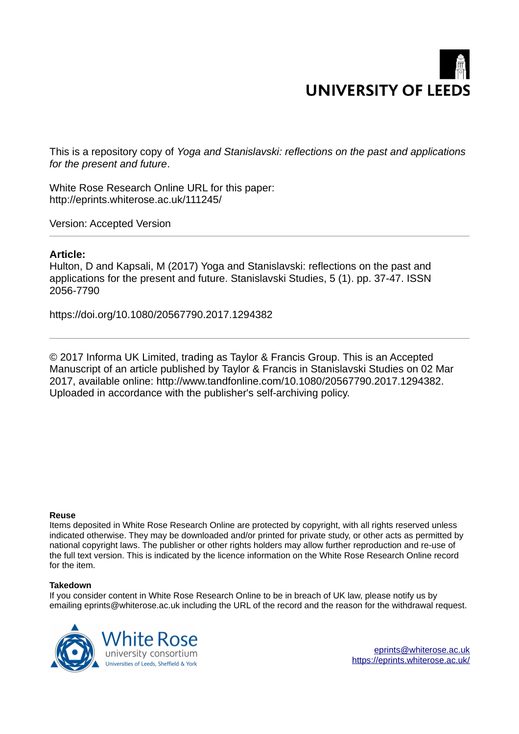# **UNIVERSITY OF LEEDS**

This is a repository copy of *Yoga and Stanislavski: reflections on the past and applications for the present and future*.

White Rose Research Online URL for this paper: http://eprints.whiterose.ac.uk/111245/

Version: Accepted Version

## **Article:**

Hulton, D and Kapsali, M (2017) Yoga and Stanislavski: reflections on the past and applications for the present and future. Stanislavski Studies, 5 (1). pp. 37-47. ISSN 2056-7790

https://doi.org/10.1080/20567790.2017.1294382

© 2017 Informa UK Limited, trading as Taylor & Francis Group. This is an Accepted Manuscript of an article published by Taylor & Francis in Stanislavski Studies on 02 Mar 2017, available online: http://www.tandfonline.com/10.1080/20567790.2017.1294382. Uploaded in accordance with the publisher's self-archiving policy.

#### **Reuse**

Items deposited in White Rose Research Online are protected by copyright, with all rights reserved unless indicated otherwise. They may be downloaded and/or printed for private study, or other acts as permitted by national copyright laws. The publisher or other rights holders may allow further reproduction and re-use of the full text version. This is indicated by the licence information on the White Rose Research Online record for the item.

#### **Takedown**

If you consider content in White Rose Research Online to be in breach of UK law, please notify us by emailing eprints@whiterose.ac.uk including the URL of the record and the reason for the withdrawal request.



[eprints@whiterose.ac.uk](mailto:eprints@whiterose.ac.uk) <https://eprints.whiterose.ac.uk/>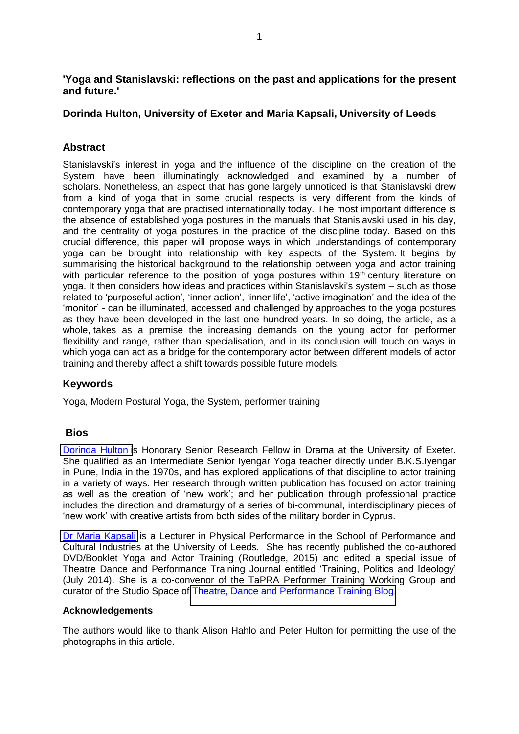**'Yoga and Stanislavski: reflections on the past and applications for the present and future.'** 

## **Dorinda Hulton, University of Exeter and Maria Kapsali, University of Leeds**

# **Abstract**

Stanislavski's interest in yoga and the influence of the discipline on the creation of the System have been illuminatingly acknowledged and examined by a number of scholars. Nonetheless, an aspect that has gone largely unnoticed is that Stanislavski drew from a kind of yoga that in some crucial respects is very different from the kinds of contemporary yoga that are practised internationally today. The most important difference is the absence of established yoga postures in the manuals that Stanislavski used in his day, and the centrality of yoga postures in the practice of the discipline today. Based on this crucial difference, this paper will propose ways in which understandings of contemporary yoga can be brought into relationship with key aspects of the System. It begins by summarising the historical background to the relationship between yoga and actor training with particular reference to the position of yoga postures within 19<sup>th</sup> century literature on yoga. It then considers how ideas and practices within Stanislavski's system – such as those related to 'purposeful action', 'inner action', 'inner life', 'active imagination' and the idea of the 'monitor' - can be illuminated, accessed and challenged by approaches to the yoga postures as they have been developed in the last one hundred years. In so doing, the article, as a whole, takes as a premise the increasing demands on the young actor for performer flexibility and range, rather than specialisation, and in its conclusion will touch on ways in which yoga can act as a bridge for the contemporary actor between different models of actor training and thereby affect a shift towards possible future models.

# **Keywords**

Yoga, Modern Postural Yoga, the System, performer training

## **Bios**

[Dorinda Hulton i](http://www.dorindahulton.co.uk/)s Honorary Senior Research Fellow in Drama at the University of Exeter. She qualified as an Intermediate Senior Iyengar Yoga teacher directly under B.K.S.Iyengar in Pune, India in the 1970s, and has explored applications of that discipline to actor training in a variety of ways. Her research through written publication has focused on actor training as well as the creation of 'new work'; and her publication through professional practice includes the direction and dramaturgy of a series of bi-communal, interdisciplinary pieces of 'new work' with creative artists from both sides of the military border in Cyprus.

[Dr Maria Kapsali](http://www.pci.leeds.ac.uk/people/dr-maria-kapsali/) is a Lecturer in Physical Performance in the School of Performance and Cultural Industries at the University of Leeds. She has recently published the co-authored DVD/Booklet Yoga and Actor Training (Routledge, 2015) and edited a special issue of Theatre Dance and Performance Training Journal entitled 'Training, Politics and Ideology' (July 2014). She is a co-convenor of the TaPRA Performer Training Working Group and curator of the Studio Space of [Theatre, Dance and Performance Training Blog.](http://theatredanceperformancetraining.org/)

#### **Acknowledgements**

The authors would like to thank Alison Hahlo and Peter Hulton for permitting the use of the photographs in this article.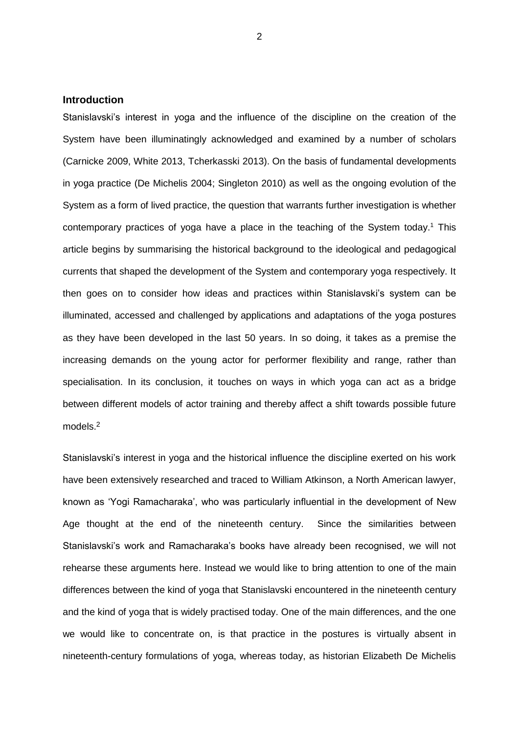## **Introduction**

Stanislavski's interest in yoga and the influence of the discipline on the creation of the System have been illuminatingly acknowledged and examined by a number of scholars (Carnicke 2009, White 2013, Tcherkasski 2013). On the basis of fundamental developments in yoga practice (De Michelis 2004; Singleton 2010) as well as the ongoing evolution of the System as a form of lived practice, the question that warrants further investigation is whether contemporary practices of yoga have a place in the teaching of the System today.<sup>1</sup> This article begins by summarising the historical background to the ideological and pedagogical currents that shaped the development of the System and contemporary yoga respectively. It then goes on to consider how ideas and practices within Stanislavski's system can be illuminated, accessed and challenged by applications and adaptations of the yoga postures as they have been developed in the last 50 years. In so doing, it takes as a premise the increasing demands on the young actor for performer flexibility and range, rather than specialisation. In its conclusion, it touches on ways in which yoga can act as a bridge between different models of actor training and thereby affect a shift towards possible future models.<sup>2</sup>

Stanislavski's interest in yoga and the historical influence the discipline exerted on his work have been extensively researched and traced to William Atkinson, a North American lawyer, known as 'Yogi Ramacharaka', who was particularly influential in the development of New Age thought at the end of the nineteenth century. Since the similarities between Stanislavski's work and Ramacharaka's books have already been recognised, we will not rehearse these arguments here. Instead we would like to bring attention to one of the main differences between the kind of yoga that Stanislavski encountered in the nineteenth century and the kind of yoga that is widely practised today. One of the main differences, and the one we would like to concentrate on, is that practice in the postures is virtually absent in nineteenth-century formulations of yoga, whereas today, as historian Elizabeth De Michelis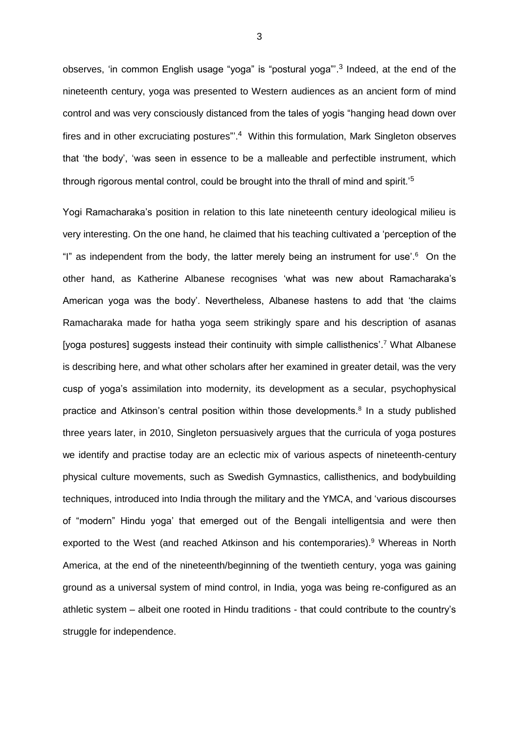observes, 'in common English usage "yoga" is "postural yoga"'.<sup>3</sup> Indeed, at the end of the nineteenth century, yoga was presented to Western audiences as an ancient form of mind control and was very consciously distanced from the tales of yogis "hanging head down over fires and in other excruciating postures".<sup>4</sup> Within this formulation, Mark Singleton observes that 'the body', 'was seen in essence to be a malleable and perfectible instrument, which through rigorous mental control, could be brought into the thrall of mind and spirit.'<sup>5</sup>

Yogi Ramacharaka's position in relation to this late nineteenth century ideological milieu is very interesting. On the one hand, he claimed that his teaching cultivated a 'perception of the "I" as independent from the body, the latter merely being an instrument for use'.<sup>6</sup> On the other hand, as Katherine Albanese recognises 'what was new about Ramacharaka's American yoga was the body'. Nevertheless, Albanese hastens to add that 'the claims Ramacharaka made for hatha yoga seem strikingly spare and his description of asanas [yoga postures] suggests instead their continuity with simple callisthenics'.<sup>7</sup> What Albanese is describing here, and what other scholars after her examined in greater detail, was the very cusp of yoga's assimilation into modernity, its development as a secular, psychophysical practice and Atkinson's central position within those developments.<sup>8</sup> In a study published three years later, in 2010, Singleton persuasively argues that the curricula of yoga postures we identify and practise today are an eclectic mix of various aspects of nineteenth-century physical culture movements, such as Swedish Gymnastics, callisthenics, and bodybuilding techniques, introduced into India through the military and the YMCA, and 'various discourses of "modern" Hindu yoga' that emerged out of the Bengali intelligentsia and were then exported to the West (and reached Atkinson and his contemporaries).<sup>9</sup> Whereas in North America, at the end of the nineteenth/beginning of the twentieth century, yoga was gaining ground as a universal system of mind control, in India, yoga was being re-configured as an athletic system – albeit one rooted in Hindu traditions - that could contribute to the country's struggle for independence.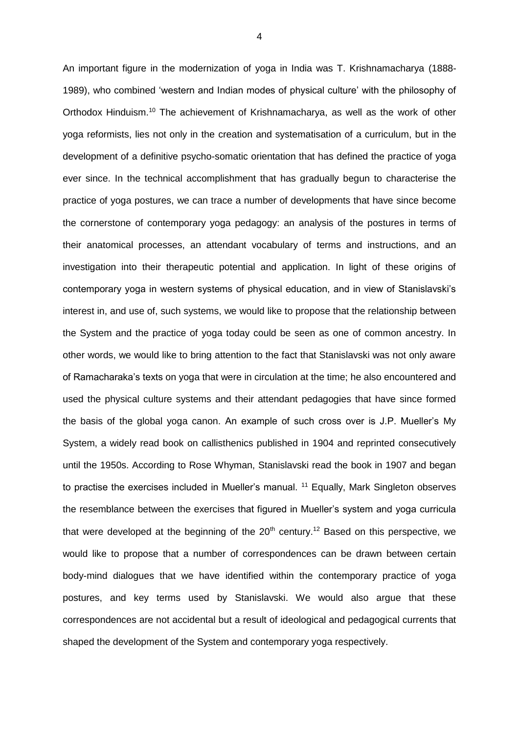An important figure in the modernization of yoga in India was T. Krishnamacharya (1888- 1989), who combined 'western and Indian modes of physical culture' with the philosophy of Orthodox Hinduism.<sup>10</sup> The achievement of Krishnamacharya, as well as the work of other yoga reformists, lies not only in the creation and systematisation of a curriculum, but in the development of a definitive psycho-somatic orientation that has defined the practice of yoga ever since. In the technical accomplishment that has gradually begun to characterise the practice of yoga postures, we can trace a number of developments that have since become the cornerstone of contemporary yoga pedagogy: an analysis of the postures in terms of their anatomical processes, an attendant vocabulary of terms and instructions, and an investigation into their therapeutic potential and application. In light of these origins of contemporary yoga in western systems of physical education, and in view of Stanislavski's interest in, and use of, such systems, we would like to propose that the relationship between the System and the practice of yoga today could be seen as one of common ancestry. In other words, we would like to bring attention to the fact that Stanislavski was not only aware of Ramacharaka's texts on yoga that were in circulation at the time; he also encountered and used the physical culture systems and their attendant pedagogies that have since formed the basis of the global yoga canon. An example of such cross over is J.P. Mueller's My System, a widely read book on callisthenics published in 1904 and reprinted consecutively until the 1950s. According to Rose Whyman, Stanislavski read the book in 1907 and began to practise the exercises included in Mueller's manual. <sup>11</sup> Equally, Mark Singleton observes the resemblance between the exercises that figured in Mueller's system and yoga curricula that were developed at the beginning of the  $20<sup>th</sup>$  century.<sup>12</sup> Based on this perspective, we would like to propose that a number of correspondences can be drawn between certain body-mind dialogues that we have identified within the contemporary practice of yoga postures, and key terms used by Stanislavski. We would also argue that these correspondences are not accidental but a result of ideological and pedagogical currents that shaped the development of the System and contemporary yoga respectively.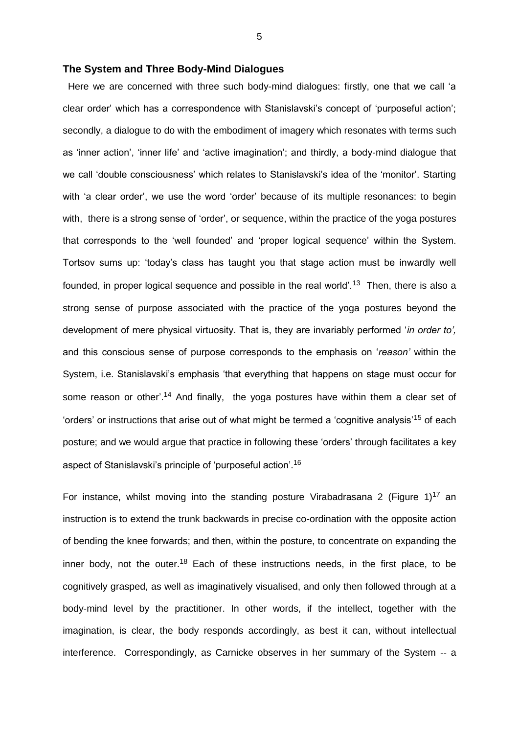#### **The System and Three Body-Mind Dialogues**

 Here we are concerned with three such body-mind dialogues: firstly, one that we call 'a clear order' which has a correspondence with Stanislavski's concept of 'purposeful action'; secondly, a dialogue to do with the embodiment of imagery which resonates with terms such as 'inner action', 'inner life' and 'active imagination'; and thirdly, a body-mind dialogue that we call 'double consciousness' which relates to Stanislavski's idea of the 'monitor'. Starting with 'a clear order', we use the word 'order' because of its multiple resonances: to begin with, there is a strong sense of 'order', or sequence, within the practice of the yoga postures that corresponds to the 'well founded' and 'proper logical sequence' within the System. Tortsov sums up: 'today's class has taught you that stage action must be inwardly well founded, in proper logical sequence and possible in the real world'.<sup>13</sup> Then, there is also a strong sense of purpose associated with the practice of the yoga postures beyond the development of mere physical virtuosity. That is, they are invariably performed '*in order to',* and this conscious sense of purpose corresponds to the emphasis on '*reason'* within the System, i.e. Stanislavski's emphasis 'that everything that happens on stage must occur for some reason or other'.<sup>14</sup> And finally, the yoga postures have within them a clear set of 'orders' or instructions that arise out of what might be termed a 'cognitive analysis'<sup>15</sup> of each posture; and we would argue that practice in following these 'orders' through facilitates a key aspect of Stanislavski's principle of 'purposeful action'.<sup>16</sup>

For instance, whilst moving into the standing posture Virabadrasana 2 (Figure  $1$ )<sup>17</sup> an instruction is to extend the trunk backwards in precise co-ordination with the opposite action of bending the knee forwards; and then, within the posture, to concentrate on expanding the inner body, not the outer.<sup>18</sup> Each of these instructions needs, in the first place, to be cognitively grasped, as well as imaginatively visualised, and only then followed through at a body-mind level by the practitioner. In other words, if the intellect, together with the imagination, is clear, the body responds accordingly, as best it can, without intellectual interference. Correspondingly, as Carnicke observes in her summary of the System -- a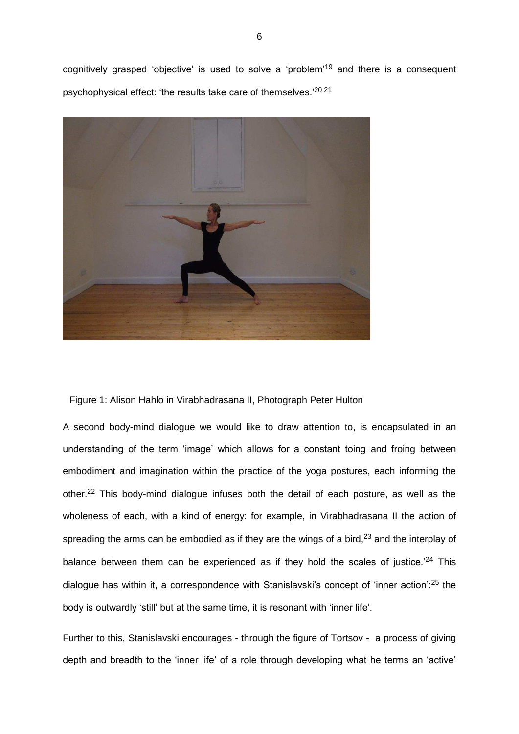cognitively grasped 'objective' is used to solve a 'problem'19 and there is a consequent psychophysical effect: 'the results take care of themselves.'<sup>20 21</sup>



Figure 1: Alison Hahlo in Virabhadrasana II, Photograph Peter Hulton

A second body-mind dialogue we would like to draw attention to, is encapsulated in an understanding of the term 'image' which allows for a constant toing and froing between embodiment and imagination within the practice of the yoga postures, each informing the other.22 This body-mind dialogue infuses both the detail of each posture, as well as the wholeness of each, with a kind of energy: for example, in Virabhadrasana II the action of spreading the arms can be embodied as if they are the wings of a bird, $23$  and the interplay of balance between them can be experienced as if they hold the scales of justice.<sup> $24$ </sup> This dialogue has within it, a correspondence with Stanislavski's concept of 'inner action': $^{25}$  the body is outwardly 'still' but at the same time, it is resonant with 'inner life'.

Further to this, Stanislavski encourages - through the figure of Tortsov - a process of giving depth and breadth to the 'inner life' of a role through developing what he terms an 'active'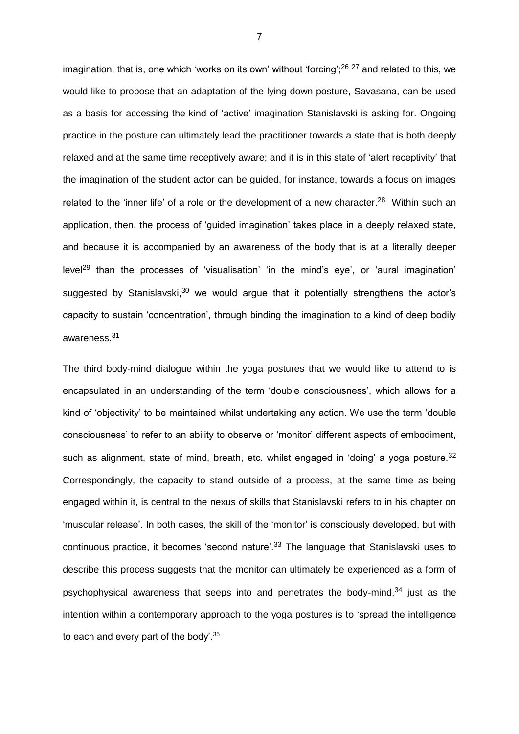imagination, that is, one which 'works on its own' without 'forcing';<sup>26 27</sup> and related to this, we would like to propose that an adaptation of the lying down posture, Savasana, can be used as a basis for accessing the kind of 'active' imagination Stanislavski is asking for. Ongoing practice in the posture can ultimately lead the practitioner towards a state that is both deeply relaxed and at the same time receptively aware; and it is in this state of 'alert receptivity' that the imagination of the student actor can be guided, for instance, towards a focus on images related to the 'inner life' of a role or the development of a new character.<sup>28</sup> Within such an application, then, the process of 'guided imagination' takes place in a deeply relaxed state, and because it is accompanied by an awareness of the body that is at a literally deeper level<sup>29</sup> than the processes of 'visualisation' 'in the mind's eye', or 'aural imagination' suggested by Stanislavski,<sup>30</sup> we would argue that it potentially strengthens the actor's capacity to sustain 'concentration', through binding the imagination to a kind of deep bodily awareness.<sup>31</sup>

The third body-mind dialogue within the yoga postures that we would like to attend to is encapsulated in an understanding of the term 'double consciousness', which allows for a kind of 'objectivity' to be maintained whilst undertaking any action. We use the term 'double consciousness' to refer to an ability to observe or 'monitor' different aspects of embodiment, such as alignment, state of mind, breath, etc. whilst engaged in 'doing' a yoga posture.<sup>32</sup> Correspondingly, the capacity to stand outside of a process, at the same time as being engaged within it, is central to the nexus of skills that Stanislavski refers to in his chapter on 'muscular release'. In both cases, the skill of the 'monitor' is consciously developed, but with continuous practice, it becomes 'second nature'.33 The language that Stanislavski uses to describe this process suggests that the monitor can ultimately be experienced as a form of psychophysical awareness that seeps into and penetrates the body-mind, $34$  just as the intention within a contemporary approach to the yoga postures is to 'spread the intelligence to each and every part of the body'.<sup>35</sup>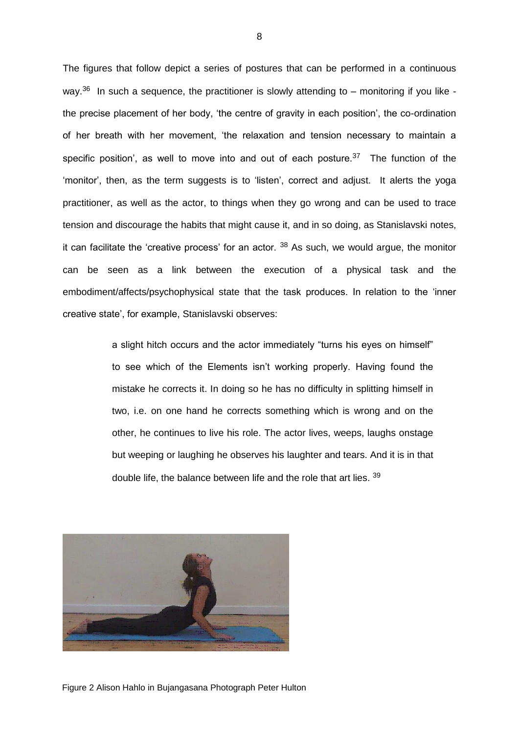The figures that follow depict a series of postures that can be performed in a continuous way.<sup>36</sup> In such a sequence, the practitioner is slowly attending to – monitoring if you like the precise placement of her body, 'the centre of gravity in each position', the co-ordination of her breath with her movement, 'the relaxation and tension necessary to maintain a specific position', as well to move into and out of each posture. $37$  The function of the 'monitor', then, as the term suggests is to 'listen', correct and adjust. It alerts the yoga practitioner, as well as the actor, to things when they go wrong and can be used to trace tension and discourage the habits that might cause it, and in so doing, as Stanislavski notes, it can facilitate the 'creative process' for an actor.  $38$  As such, we would argue, the monitor can be seen as a link between the execution of a physical task and the embodiment/affects/psychophysical state that the task produces. In relation to the 'inner creative state', for example, Stanislavski observes:

> a slight hitch occurs and the actor immediately "turns his eyes on himself" to see which of the Elements isn't working properly. Having found the mistake he corrects it. In doing so he has no difficulty in splitting himself in two, i.e. on one hand he corrects something which is wrong and on the other, he continues to live his role. The actor lives, weeps, laughs onstage but weeping or laughing he observes his laughter and tears. And it is in that double life, the balance between life and the role that art lies. 39



Figure 2 Alison Hahlo in Bujangasana Photograph Peter Hulton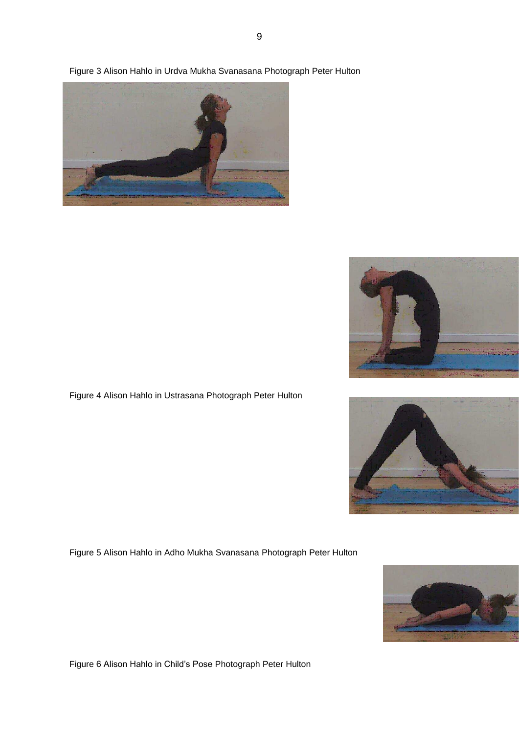







Figure 4 Alison Hahlo in Ustrasana Photograph Peter Hulton

Figure 5 Alison Hahlo in Adho Mukha Svanasana Photograph Peter Hulton



Figure 6 Alison Hahlo in Child's Pose Photograph Peter Hulton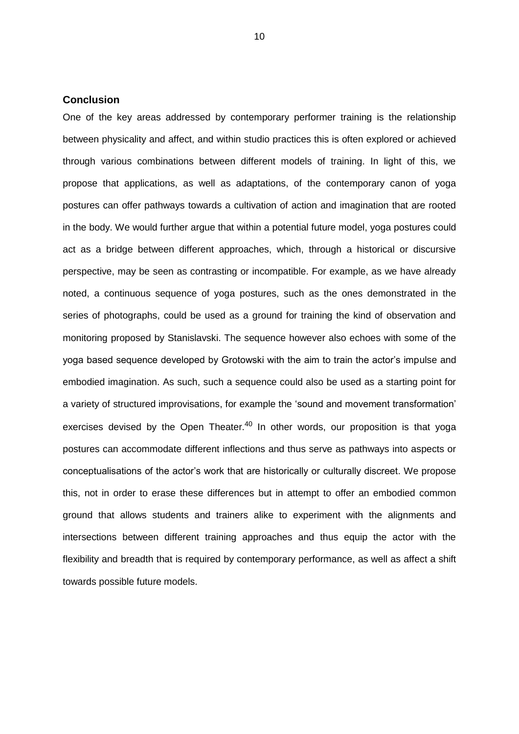## **Conclusion**

One of the key areas addressed by contemporary performer training is the relationship between physicality and affect, and within studio practices this is often explored or achieved through various combinations between different models of training. In light of this, we propose that applications, as well as adaptations, of the contemporary canon of yoga postures can offer pathways towards a cultivation of action and imagination that are rooted in the body. We would further argue that within a potential future model, yoga postures could act as a bridge between different approaches, which, through a historical or discursive perspective, may be seen as contrasting or incompatible. For example, as we have already noted, a continuous sequence of yoga postures, such as the ones demonstrated in the series of photographs, could be used as a ground for training the kind of observation and monitoring proposed by Stanislavski. The sequence however also echoes with some of the yoga based sequence developed by Grotowski with the aim to train the actor's impulse and embodied imagination. As such, such a sequence could also be used as a starting point for a variety of structured improvisations, for example the 'sound and movement transformation' exercises devised by the Open Theater. $40$  In other words, our proposition is that yoga postures can accommodate different inflections and thus serve as pathways into aspects or conceptualisations of the actor's work that are historically or culturally discreet. We propose this, not in order to erase these differences but in attempt to offer an embodied common ground that allows students and trainers alike to experiment with the alignments and intersections between different training approaches and thus equip the actor with the flexibility and breadth that is required by contemporary performance, as well as affect a shift towards possible future models.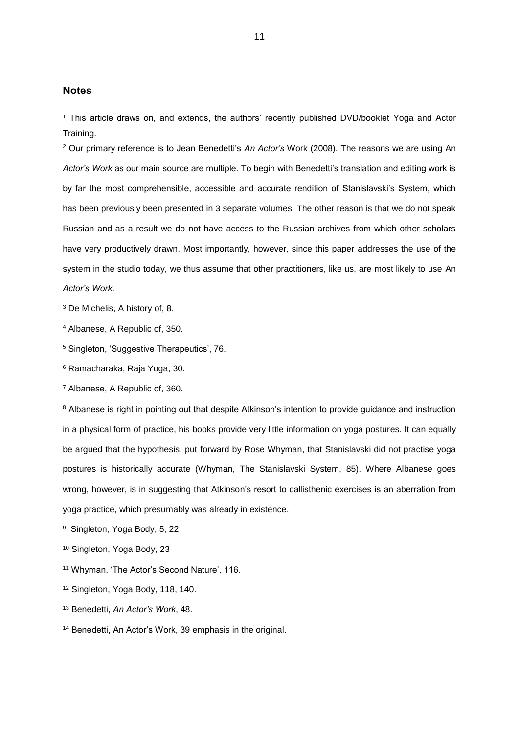## **Notes**

-

<sup>1</sup> This article draws on, and extends, the authors' recently published DVD/booklet Yoga and Actor Training.

<sup>2</sup> Our primary reference is to Jean Benedetti's *An Actor's* Work (2008). The reasons we are using An *Actor's Work* as our main source are multiple. To begin with Benedetti's translation and editing work is by far the most comprehensible, accessible and accurate rendition of Stanislavski's System, which has been previously been presented in 3 separate volumes. The other reason is that we do not speak Russian and as a result we do not have access to the Russian archives from which other scholars have very productively drawn. Most importantly, however, since this paper addresses the use of the system in the studio today, we thus assume that other practitioners, like us, are most likely to use An *Actor's Work*.

3 De Michelis, A history of, 8.

4 Albanese, A Republic of, 350.

<sup>5</sup> Singleton, 'Suggestive Therapeutics', 76.

6 Ramacharaka, Raja Yoga, 30.

7 Albanese, A Republic of, 360.

<sup>8</sup> Albanese is right in pointing out that despite Atkinson's intention to provide guidance and instruction in a physical form of practice, his books provide very little information on yoga postures. It can equally be argued that the hypothesis, put forward by Rose Whyman, that Stanislavski did not practise yoga postures is historically accurate (Whyman, The Stanislavski System, 85). Where Albanese goes wrong, however, is in suggesting that Atkinson's resort to callisthenic exercises is an aberration from yoga practice, which presumably was already in existence.

<sup>9</sup> Singleton, Yoga Body, 5, 22

<sup>10</sup> Singleton, Yoga Body, 23

<sup>11</sup> Whyman, 'The Actor's Second Nature', 116.

<sup>12</sup> Singleton, Yoga Body, 118, 140.

<sup>13</sup> Benedetti, *An Actor's Work*, 48.

<sup>14</sup> Benedetti, An Actor's Work, 39 emphasis in the original.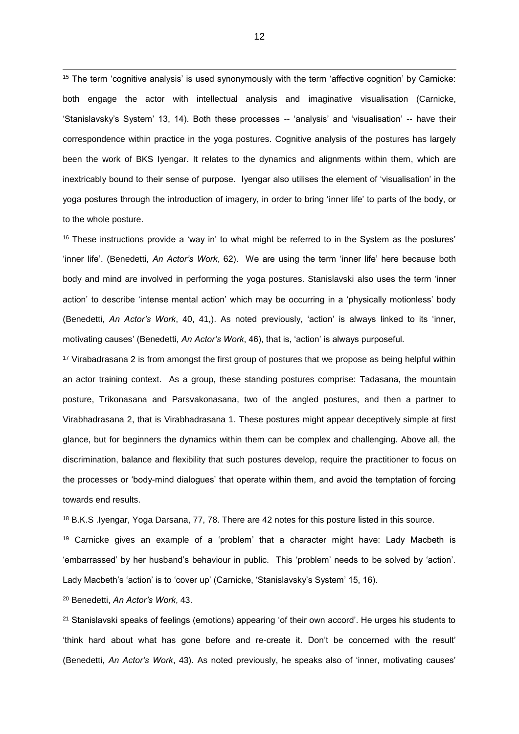-<sup>15</sup> The term 'cognitive analysis' is used synonymously with the term 'affective cognition' by Carnicke: both engage the actor with intellectual analysis and imaginative visualisation (Carnicke, 'Stanislavsky's System' 13, 14). Both these processes -- 'analysis' and 'visualisation' -- have their correspondence within practice in the yoga postures. Cognitive analysis of the postures has largely been the work of BKS Iyengar. It relates to the dynamics and alignments within them, which are inextricably bound to their sense of purpose. Iyengar also utilises the element of 'visualisation' in the yoga postures through the introduction of imagery, in order to bring 'inner life' to parts of the body, or to the whole posture.

<sup>16</sup> These instructions provide a 'way in' to what might be referred to in the System as the postures' 'inner life'. (Benedetti, *An Actor's Work*, 62). We are using the term 'inner life' here because both body and mind are involved in performing the yoga postures. Stanislavski also uses the term 'inner action' to describe 'intense mental action' which may be occurring in a 'physically motionless' body (Benedetti, *An Actor's Work*, 40, 41,). As noted previously, 'action' is always linked to its 'inner, motivating causes' (Benedetti, *An Actor's Work*, 46), that is, 'action' is always purposeful.

<sup>17</sup> Virabadrasana 2 is from amongst the first group of postures that we propose as being helpful within an actor training context. As a group, these standing postures comprise: Tadasana, the mountain posture, Trikonasana and Parsvakonasana, two of the angled postures, and then a partner to Virabhadrasana 2, that is Virabhadrasana 1. These postures might appear deceptively simple at first glance, but for beginners the dynamics within them can be complex and challenging. Above all, the discrimination, balance and flexibility that such postures develop, require the practitioner to focus on the processes or 'body-mind dialogues' that operate within them, and avoid the temptation of forcing towards end results.

<sup>18</sup> B.K.S .Iyengar, Yoga Darsana, 77, 78. There are 42 notes for this posture listed in this source.

<sup>19</sup> Carnicke gives an example of a 'problem' that a character might have: Lady Macbeth is 'embarrassed' by her husband's behaviour in public. This 'problem' needs to be solved by 'action'. Lady Macbeth's 'action' is to 'cover up' (Carnicke, 'Stanislavsky's System' 15, 16).

<sup>20</sup> Benedetti, *An Actor's Work*, 43.

<sup>21</sup> Stanislavski speaks of feelings (emotions) appearing 'of their own accord'. He urges his students to 'think hard about what has gone before and re-create it. Don't be concerned with the result' (Benedetti, *An Actor's Work*, 43). As noted previously, he speaks also of 'inner, motivating causes'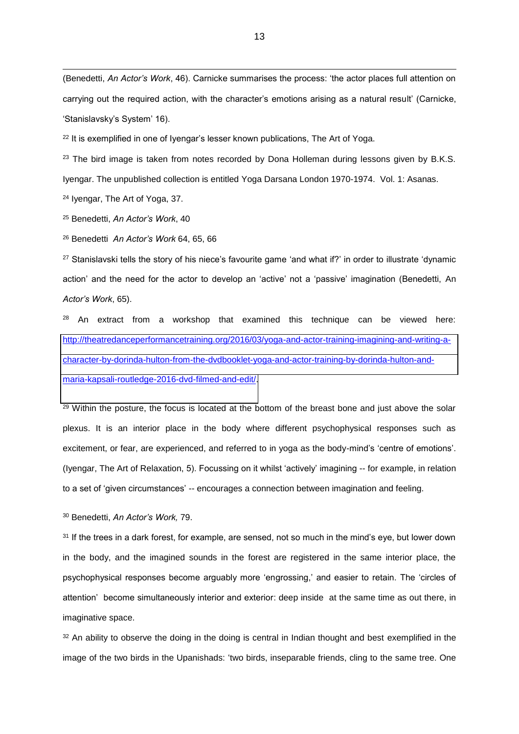(Benedetti, *An Actor's Work*, 46). Carnicke summarises the process: 'the actor places full attention on carrying out the required action, with the character's emotions arising as a natural result' (Carnicke, 'Stanislavsky's System' 16).

<sup>22</sup> It is exemplified in one of Iyengar's lesser known publications, The Art of Yoga.

<sup>23</sup> The bird image is taken from notes recorded by Dona Holleman during lessons given by B.K.S. Iyengar. The unpublished collection is entitled Yoga Darsana London 1970-1974. Vol. 1: Asanas. <sup>24</sup> Iyengar, The Art of Yoga, 37.

<sup>25</sup> Benedetti, *An Actor's Work*, 40

-

<sup>26</sup> Benedetti *An Actor's Work* 64, 65, 66

<sup>27</sup> Stanislavski tells the story of his niece's favourite game 'and what if?' in order to illustrate 'dynamic action' and the need for the actor to develop an 'active' not a 'passive' imagination (Benedetti, An *Actor's Work*, 65).

 $28$  An extract from a workshop that examined this technique can be viewed here: [http://theatredanceperformancetraining.org/2016/03/yoga-and-actor-training-imagining-and-writing-a](http://theatredanceperformancetraining.org/2016/03/yoga-and-actor-training-imagining-and-writing-a-character-by-dorinda-hulton-from-the-dvdbooklet-yoga-and-actor-training-by-dorinda-hulton-and-maria-kapsali-routledge-2016-dvd-filmed-and-edit/)[character-by-dorinda-hulton-from-the-dvdbooklet-yoga-and-actor-training-by-dorinda-hulton-and](http://theatredanceperformancetraining.org/2016/03/yoga-and-actor-training-imagining-and-writing-a-character-by-dorinda-hulton-from-the-dvdbooklet-yoga-and-actor-training-by-dorinda-hulton-and-maria-kapsali-routledge-2016-dvd-filmed-and-edit/)[maria-kapsali-routledge-2016-dvd-filmed-and-edit/.](http://theatredanceperformancetraining.org/2016/03/yoga-and-actor-training-imagining-and-writing-a-character-by-dorinda-hulton-from-the-dvdbooklet-yoga-and-actor-training-by-dorinda-hulton-and-maria-kapsali-routledge-2016-dvd-filmed-and-edit/)

<sup>29</sup> Within the posture, the focus is located at the bottom of the breast bone and just above the solar plexus. It is an interior place in the body where different psychophysical responses such as excitement, or fear, are experienced, and referred to in yoga as the body-mind's 'centre of emotions'. (Iyengar, The Art of Relaxation, 5). Focussing on it whilst 'actively' imagining -- for example, in relation to a set of 'given circumstances' -- encourages a connection between imagination and feeling.

<sup>30</sup> Benedetti, *An Actor's Work,* 79.

<sup>31</sup> If the trees in a dark forest, for example, are sensed, not so much in the mind's eye, but lower down in the body, and the imagined sounds in the forest are registered in the same interior place, the psychophysical responses become arguably more 'engrossing,' and easier to retain. The 'circles of attention' become simultaneously interior and exterior: deep inside at the same time as out there, in imaginative space.

<sup>32</sup> An ability to observe the doing in the doing is central in Indian thought and best exemplified in the image of the two birds in the Upanishads: 'two birds, inseparable friends, cling to the same tree. One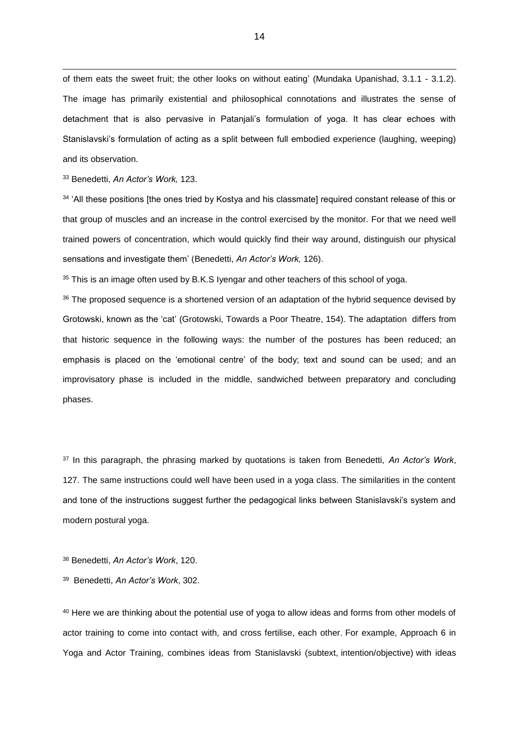of them eats the sweet fruit; the other looks on without eating' (Mundaka Upanishad, 3.1.1 - 3.1.2). The image has primarily existential and philosophical connotations and illustrates the sense of detachment that is also pervasive in Patanjali's formulation of yoga. It has clear echoes with Stanislavski's formulation of acting as a split between full embodied experience (laughing, weeping) and its observation.

<sup>33</sup> Benedetti, *An Actor's Work,* 123.

<sup>34</sup> 'All these positions [the ones tried by Kostya and his classmate] required constant release of this or that group of muscles and an increase in the control exercised by the monitor. For that we need well trained powers of concentration, which would quickly find their way around, distinguish our physical sensations and investigate them' (Benedetti, *An Actor's Work,* 126).

<sup>35</sup> This is an image often used by B.K.S Iyengar and other teachers of this school of yoga.

<sup>36</sup> The proposed sequence is a shortened version of an adaptation of the hybrid sequence devised by Grotowski, known as the 'cat' (Grotowski, Towards a Poor Theatre, 154). The adaptation differs from that historic sequence in the following ways: the number of the postures has been reduced; an emphasis is placed on the 'emotional centre' of the body; text and sound can be used; and an improvisatory phase is included in the middle, sandwiched between preparatory and concluding phases.

<sup>37</sup> In this paragraph, the phrasing marked by quotations is taken from Benedetti, *An Actor's Work*, 127. The same instructions could well have been used in a yoga class. The similarities in the content and tone of the instructions suggest further the pedagogical links between Stanislavski's system and modern postural yoga.

<sup>38</sup> Benedetti, *An Actor's Work*, 120.

<sup>40</sup> Here we are thinking about the potential use of yoga to allow ideas and forms from other models of actor training to come into contact with, and cross fertilise, each other. For example, Approach 6 in Yoga and Actor Training, combines ideas from Stanislavski (subtext, intention/objective) with ideas

<sup>39</sup> Benedetti, *An Actor's Work*, 302.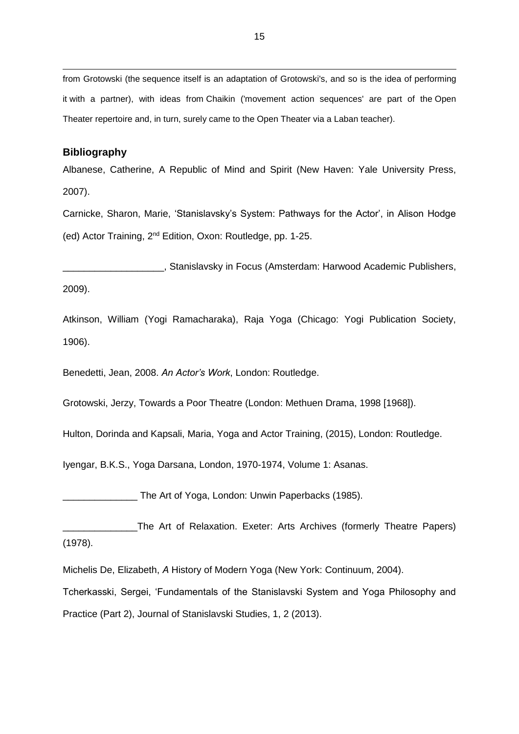from Grotowski (the sequence itself is an adaptation of Grotowski's, and so is the idea of performing it with a partner), with ideas from Chaikin ('movement action sequences' are part of the Open Theater repertoire and, in turn, surely came to the Open Theater via a Laban teacher).

#### **Bibliography**

-

Albanese, Catherine, A Republic of Mind and Spirit (New Haven: Yale University Press, 2007).

Carnicke, Sharon, Marie, 'Stanislavsky's System: Pathways for the Actor', in Alison Hodge (ed) Actor Training, 2nd Edition, Oxon: Routledge, pp. 1-25.

**EXECUTE:** Stanislavsky in Focus (Amsterdam: Harwood Academic Publishers, 2009).

Atkinson, William (Yogi Ramacharaka), Raja Yoga (Chicago: Yogi Publication Society, 1906).

Benedetti, Jean, 2008. *An Actor's Work*, London: Routledge.

Grotowski, Jerzy, Towards a Poor Theatre (London: Methuen Drama, 1998 [1968]).

Hulton, Dorinda and Kapsali, Maria, Yoga and Actor Training, (2015), London: Routledge.

Iyengar, B.K.S., Yoga Darsana, London, 1970-1974, Volume 1: Asanas.

The Art of Yoga, London: Unwin Paperbacks (1985).

The Art of Relaxation. Exeter: Arts Archives (formerly Theatre Papers) (1978).

Michelis De, Elizabeth, *A* History of Modern Yoga (New York: Continuum, 2004).

Tcherkasski, Sergei, 'Fundamentals of the Stanislavski System and Yoga Philosophy and Practice (Part 2), Journal of Stanislavski Studies, 1, 2 (2013).